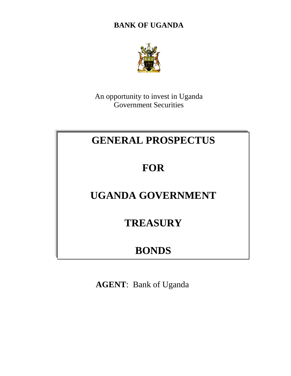**BANK OF UGANDA**



An opportunity to invest in Uganda Government Securities

# **GENERAL PROSPECTUS**

# **FOR**

# **UGANDA GOVERNMENT**

## **TREASURY**

## **BONDS**

**AGENT**: Bank of Uganda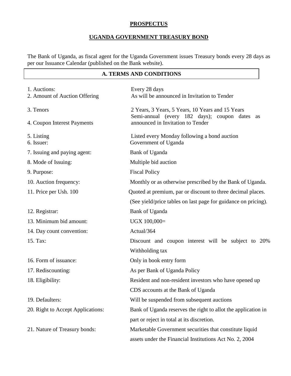## **PROSPECTUS**

## **UGANDA GOVERNMENT TREASURY BOND**

The Bank of Uganda, as fiscal agent for the Uganda Government issues Treasury bonds every 28 days as per our Issuance Calendar (published on the Bank website).

## **A. TERMS AND CONDITIONS**

| 1. Auctions:<br>2. Amount of Auction Offering | Every 28 days<br>As will be announced in Invitation to Tender                         |
|-----------------------------------------------|---------------------------------------------------------------------------------------|
| 3. Tenors                                     | 2 Years, 3 Years, 5 Years, 10 Years and 15 Years                                      |
| 4. Coupon Interest Payments                   | Semi-annual (every 182 days); coupon dates<br>as<br>announced in Invitation to Tender |
| 5. Listing<br>6. Issuer:                      | Listed every Monday following a bond auction<br>Government of Uganda                  |
| 7. Issuing and paying agent:                  | Bank of Uganda                                                                        |
| 8. Mode of Issuing:                           | Multiple bid auction                                                                  |
| 9. Purpose:                                   | <b>Fiscal Policy</b>                                                                  |
| 10. Auction frequency:                        | Monthly or as otherwise prescribed by the Bank of Uganda.                             |
| 11. Price per Ush. 100                        | Quoted at premium, par or discount to three decimal places.                           |
|                                               | (See yield/price tables on last page for guidance on pricing).                        |
| 12. Registrar:                                | Bank of Uganda                                                                        |
| 13. Minimum bid amount:                       | UGX 100,000=                                                                          |
| 14. Day count convention:                     | Actual/364                                                                            |
| 15. Tax:                                      | Discount and coupon interest will be subject to 20%                                   |
|                                               | Withholding tax                                                                       |
| 16. Form of issuance:                         | Only in book entry form                                                               |
| 17. Rediscounting:                            | As per Bank of Uganda Policy                                                          |
| 18. Eligibility:                              | Resident and non-resident investors who have opened up                                |
|                                               | CDS accounts at the Bank of Uganda                                                    |
| 19. Defaulters:                               | Will be suspended from subsequent auctions                                            |
| 20. Right to Accept Applications:             | Bank of Uganda reserves the right to allot the application in                         |
|                                               | part or reject in total at its discretion.                                            |
| 21. Nature of Treasury bonds:                 | Marketable Government securities that constitute liquid                               |
|                                               | assets under the Financial Institutions Act No. 2, 2004                               |